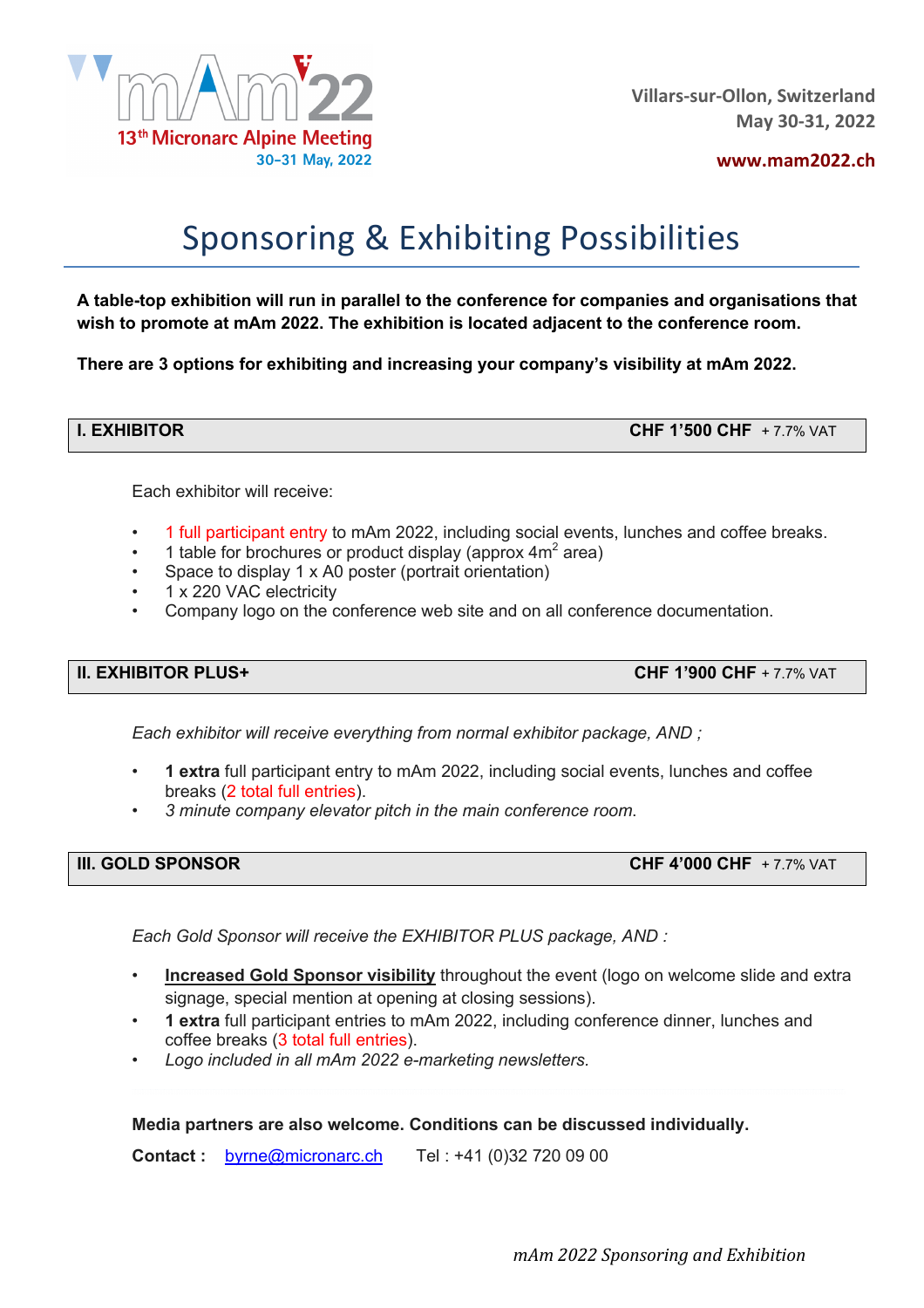

**www.mam2022.ch**

# Sponsoring & Exhibiting Possibilities

**A table-top exhibition will run in parallel to the conference for companies and organisations that wish to promote at mAm 2022. The exhibition is located adjacent to the conference room.**

**There are 3 options for exhibiting and increasing your company's visibility at mAm 2022.**

**I. EXHIBITOR CHF 1'500 CHF** + 7.7% VAT

Each exhibitor will receive:

- 1 full participant entry to mAm 2022, including social events, lunches and coffee breaks.
- 1 table for brochures or product display (approx  $4m^2$  area)
- Space to display 1 x A0 poster (portrait orientation)
- 1 x 220 VAC electricity
- Company logo on the conference web site and on all conference documentation.

**II. EXHIBITOR PLUS+ CHF 1'900 CHF** + 7.7% VAT

*Each exhibitor will receive everything from normal exhibitor package, AND ;*

- **1 extra** full participant entry to mAm 2022, including social events, lunches and coffee breaks (2 total full entries).
- *3 minute company elevator pitch in the main conference room*.

| <b>III. GOLD SPONSOR</b><br>CHF 4'000 CHF + 7.7% VAT |
|------------------------------------------------------|
|                                                      |

*Each Gold Sponsor will receive the EXHIBITOR PLUS package, AND :*

- **Increased Gold Sponsor visibility** throughout the event (logo on welcome slide and extra signage, special mention at opening at closing sessions).
- **1 extra** full participant entries to mAm 2022, including conference dinner, lunches and coffee breaks (3 total full entries).
- *Logo included in all mAm 2022 e-marketing newsletters.*

### **Media partners are also welcome. Conditions can be discussed individually.**

**Contact :** byrne@micronarc.ch Tel : +41 (0)32 720 09 00